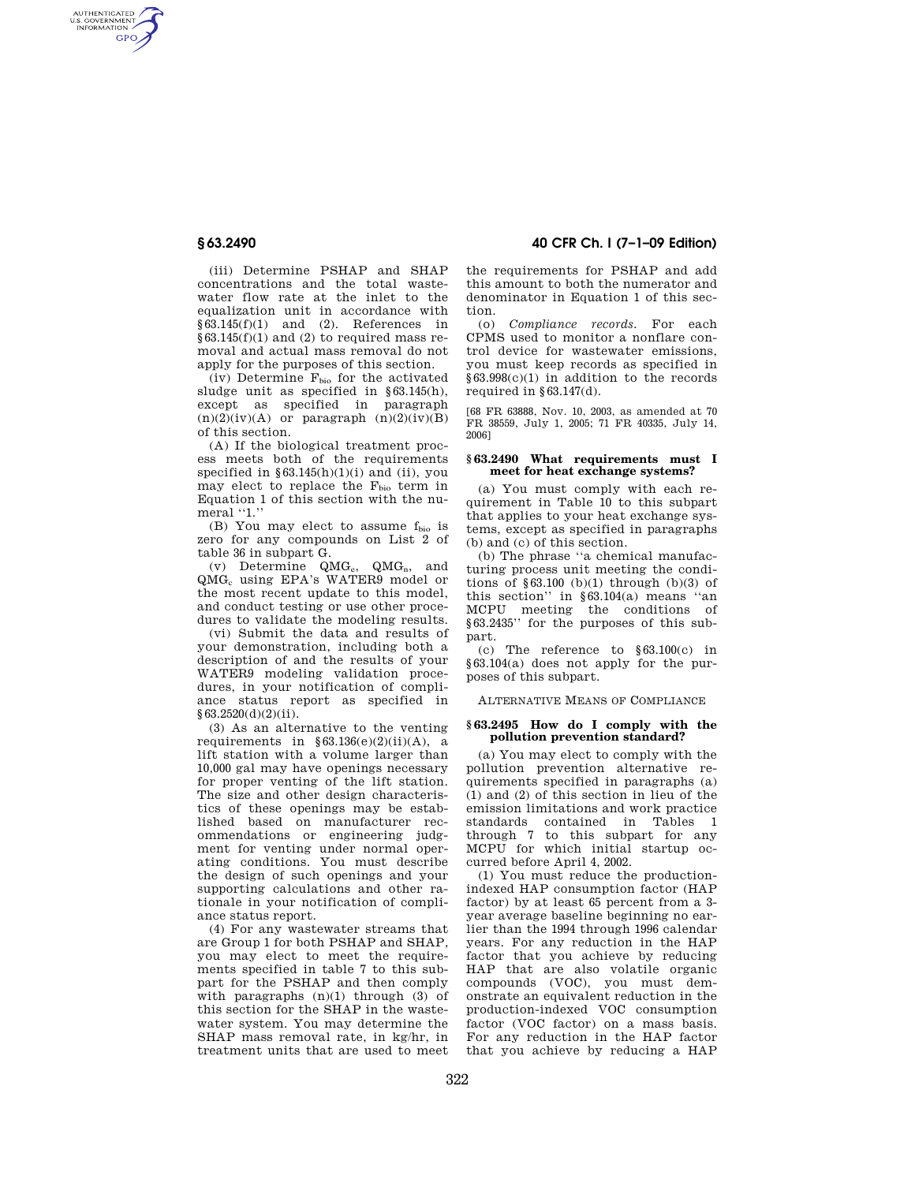AUTHENTICATED<br>U.S. GOVERNMENT<br>INFORMATION **GPO** 

> (iii) Determine PSHAP and SHAP concentrations and the total wastewater flow rate at the inlet to the equalization unit in accordance with §63.145(f)(1) and (2). References in  $§63.145(f)(1)$  and (2) to required mass removal and actual mass removal do not apply for the purposes of this section.

> $(iv)$  Determine  $F<sub>bio</sub>$  for the activated sludge unit as specified in §63.145(h), except as specified in paragraph  $(n)(2)(iv)(A)$  or paragraph  $(n)(2)(iv)(B)$ of this section.

> (A) If the biological treatment process meets both of the requirements specified in  $§63.145(h)(1)(i)$  and (ii), you may elect to replace the  $F_{bio}$  term in Equation 1 of this section with the numeral "1."

> (B) You may elect to assume  $f_{bio}$  is zero for any compounds on List 2 of table 36 in subpart G.

> (v) Determine  $QMG_e$ ,  $QMG_n$ , and QMG<sup>c</sup> using EPA's WATER9 model or the most recent update to this model, and conduct testing or use other procedures to validate the modeling results.

> (vi) Submit the data and results of your demonstration, including both a description of and the results of your WATER9 modeling validation procedures, in your notification of compliance status report as specified in §63.2520(d)(2)(ii).

> (3) As an alternative to the venting requirements in  $§ 63.136(e)(2)(ii)(A)$ , a lift station with a volume larger than 10,000 gal may have openings necessary for proper venting of the lift station. The size and other design characteristics of these openings may be established based on manufacturer recommendations or engineering judgment for venting under normal operating conditions. You must describe the design of such openings and your supporting calculations and other rationale in your notification of compliance status report.

> (4) For any wastewater streams that are Group 1 for both PSHAP and SHAP, you may elect to meet the requirements specified in table 7 to this subpart for the PSHAP and then comply with paragraphs  $(n)(1)$  through  $(3)$  of this section for the SHAP in the wastewater system. You may determine the SHAP mass removal rate, in kg/hr, in treatment units that are used to meet

# **§ 63.2490 40 CFR Ch. I (7–1–09 Edition)**

the requirements for PSHAP and add this amount to both the numerator and denominator in Equation 1 of this section.

(o) *Compliance records.* For each CPMS used to monitor a nonflare control device for wastewater emissions, you must keep records as specified in §63.998(c)(1) in addition to the records required in  $$63.147(d)$ .

[68 FR 63888, Nov. 10, 2003, as amended at 70 FR 38559, July 1, 2005; 71 FR 40335, July 14, 2006]

## **§ 63.2490 What requirements must I meet for heat exchange systems?**

(a) You must comply with each requirement in Table 10 to this subpart that applies to your heat exchange systems, except as specified in paragraphs (b) and (c) of this section.

(b) The phrase ''a chemical manufacturing process unit meeting the conditions of  $\S 63.100$  (b)(1) through (b)(3) of this section" in  $§63.104(a)$  means "an MCPU meeting the conditions of §63.2435'' for the purposes of this subpart.

(c) The reference to §63.100(c) in §63.104(a) does not apply for the purposes of this subpart.

ALTERNATIVE MEANS OF COMPLIANCE

#### **§ 63.2495 How do I comply with the pollution prevention standard?**

(a) You may elect to comply with the pollution prevention alternative requirements specified in paragraphs (a) (1) and (2) of this section in lieu of the emission limitations and work practice standards contained in Tables 1 through 7 to this subpart for any MCPU for which initial startup occurred before April 4, 2002.

(1) You must reduce the productionindexed HAP consumption factor (HAP factor) by at least 65 percent from a 3 year average baseline beginning no earlier than the 1994 through 1996 calendar years. For any reduction in the HAP factor that you achieve by reducing HAP that are also volatile organic compounds (VOC), you must demonstrate an equivalent reduction in the production-indexed VOC consumption factor (VOC factor) on a mass basis. For any reduction in the HAP factor that you achieve by reducing a HAP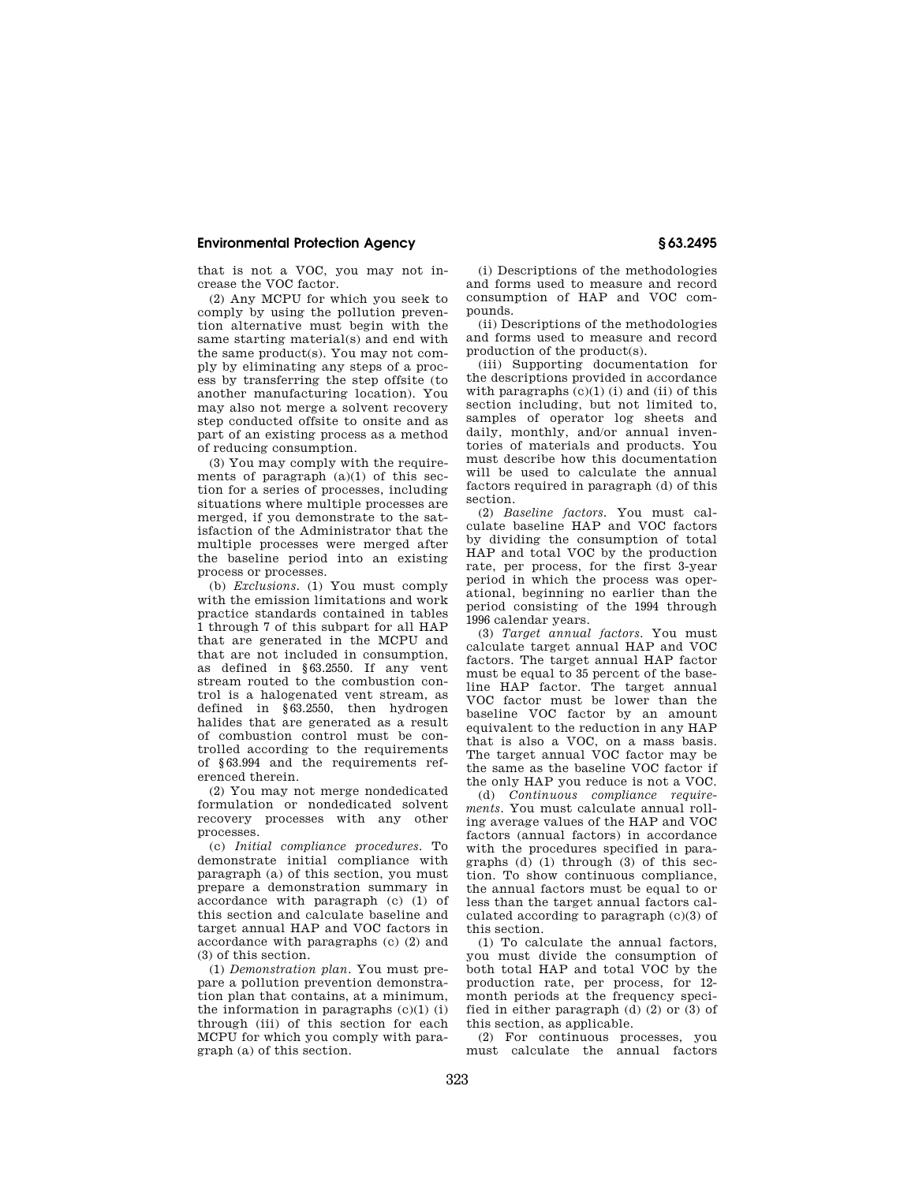## **Environmental Protection Agency § 63.2495**

that is not a VOC, you may not increase the VOC factor.

(2) Any MCPU for which you seek to comply by using the pollution prevention alternative must begin with the same starting material(s) and end with the same product(s). You may not comply by eliminating any steps of a process by transferring the step offsite (to another manufacturing location). You may also not merge a solvent recovery step conducted offsite to onsite and as part of an existing process as a method of reducing consumption.

(3) You may comply with the requirements of paragraph  $(a)(1)$  of this section for a series of processes, including situations where multiple processes are merged, if you demonstrate to the satisfaction of the Administrator that the multiple processes were merged after the baseline period into an existing process or processes.

(b) *Exclusions.* (1) You must comply with the emission limitations and work practice standards contained in tables 1 through 7 of this subpart for all HAP that are generated in the MCPU and that are not included in consumption, as defined in §63.2550. If any vent stream routed to the combustion control is a halogenated vent stream, as defined in §63.2550, then hydrogen halides that are generated as a result of combustion control must be controlled according to the requirements of §63.994 and the requirements referenced therein.

(2) You may not merge nondedicated formulation or nondedicated solvent recovery processes with any other processes.

(c) *Initial compliance procedures.* To demonstrate initial compliance with paragraph (a) of this section, you must prepare a demonstration summary in accordance with paragraph (c) (1) of this section and calculate baseline and target annual HAP and VOC factors in accordance with paragraphs (c) (2) and (3) of this section.

(1) *Demonstration plan.* You must prepare a pollution prevention demonstration plan that contains, at a minimum, the information in paragraphs  $(c)(1)$  (i) through (iii) of this section for each MCPU for which you comply with paragraph (a) of this section.

(i) Descriptions of the methodologies and forms used to measure and record consumption of HAP and VOC compounds.

(ii) Descriptions of the methodologies and forms used to measure and record production of the product(s).

(iii) Supporting documentation for the descriptions provided in accordance with paragraphs  $(c)(1)$  (i) and (ii) of this section including, but not limited to, samples of operator log sheets and daily, monthly, and/or annual inventories of materials and products. You must describe how this documentation will be used to calculate the annual factors required in paragraph (d) of this section.

(2) *Baseline factors.* You must calculate baseline HAP and VOC factors by dividing the consumption of total HAP and total VOC by the production rate, per process, for the first 3-year period in which the process was operational, beginning no earlier than the period consisting of the 1994 through 1996 calendar years.

(3) *Target annual factors.* You must calculate target annual HAP and VOC factors. The target annual HAP factor must be equal to 35 percent of the baseline HAP factor. The target annual VOC factor must be lower than the baseline VOC factor by an amount equivalent to the reduction in any HAP that is also a VOC, on a mass basis. The target annual VOC factor may be the same as the baseline VOC factor if the only HAP you reduce is not a VOC.

(d) *Continuous compliance requirements.* You must calculate annual rolling average values of the HAP and VOC factors (annual factors) in accordance with the procedures specified in paragraphs (d) (1) through (3) of this section. To show continuous compliance, the annual factors must be equal to or less than the target annual factors calculated according to paragraph (c)(3) of this section.

(1) To calculate the annual factors, you must divide the consumption of both total HAP and total VOC by the production rate, per process, for 12 month periods at the frequency specified in either paragraph (d) (2) or (3) of this section, as applicable.

(2) For continuous processes, you must calculate the annual factors